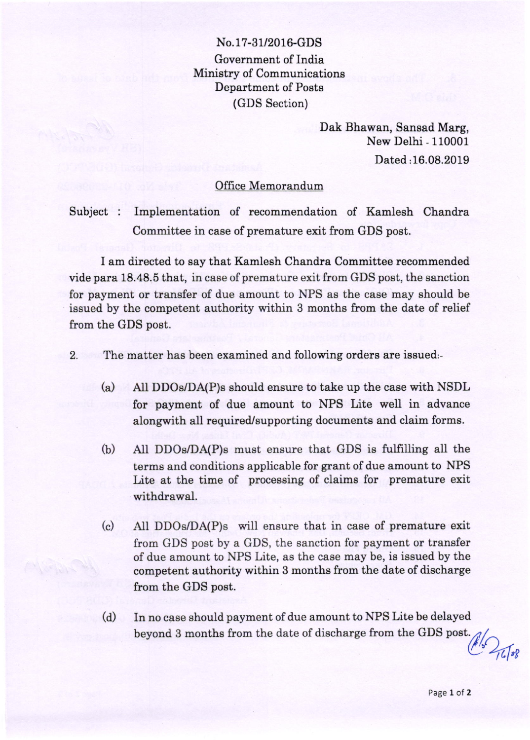No.17-31/2016-GDS Government of India Ministry of Communications Department of Posts (GDS Section)

> Dak Bhawan, Sansad Marg, New Delhi - 110001 Dated ,16.08.2019

## Office Memorandum

Subject : Implementation of recommendation of Kamlesh Chandra Committee in case of premature exit from GDS post.

I am directed to say that Kamlesh Chandra Committee recommended vide para 18.48.5 that, in case of premature exit from GDS post, the sanction for payment or transfer of due amount to NPS as the case may should be issued by the competent authority within 3 months from the date of relief from the GDS post.

2. The matter has been examined and following orders are issued'-

- (a) All  $DDOs/DA(P)s$  should ensure to take up the case with NSDL for payment of due amount to NPS Lite well in advance alongwith all required/supporting documents and claim forms.
- $(b)$  All DDOs/DA(P)s must ensure that GDS is fulfilling all the terms and conditions applicable for grant of due amount to NPS Lite at the time of processing of claims for premature exit withdrawal.
- (c) All DDOs/DA(P)s will ensure that in case of premature exit from GDS post by a GDS, the sanction for payment or transfer of due amount to NPS Lite, as the case may be, is issued by the competent authority within 3 months from the date of discharge from the GDS post.
- (d) In no case should payment of due amount to NPS Lite be delayed<br>beyond 3 months from the date of discharge from the GDS post.<br> $\iint_S$  $(1, 2)$